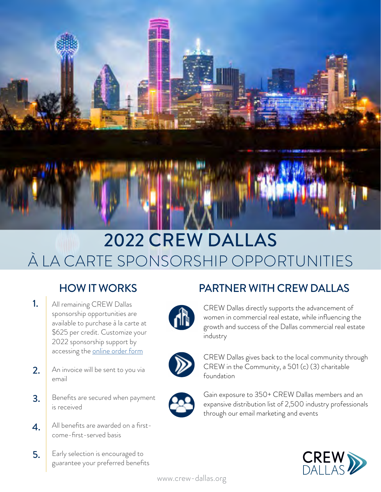

# 2022 CREW DALLAS À LA CARTE SPONSORSHIP OPPORTUNITIES

- All remaining CREW Dallas sponsorship opportunities are available to purchase à la carte at \$625 per credit. Customize your 2022 sponsorship support by accessing the [online order form](https://crewnetwork.formstack.com/forms/crew_dallas_sponsorship_commitment_form_a_la_carte) 1.
- An invoice will be sent to you via email 2.
- Benefits are secured when payment is received 3.
- All benefits are awarded on a firstcome-first-served basis 4.
- Early selection is encouraged to guarantee your preferred benefits 5.





CREW Dallas directly supports the advancement of women in commercial real estate, while influencing the growth and success of the Dallas commercial real estate industry



CREW Dallas gives back to the local community through CREW in the Community, a 501 (c) (3) charitable foundation



Gain exposure to 350+ CREW Dallas members and an expansive distribution list of 2,500 industry professionals through our email marketing and events

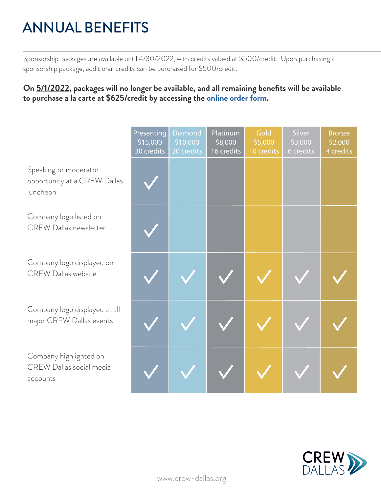## ANNUAL BENEFITS

Sponsorship packages are available until 4/30/2022, with credits valued at \$500/credit. Upon purchasing a sponsorship package, additional credits can be purchased for \$500/credit.

### **On 5/1/2022, packages will no longer be available, and all remaining benefits will be available to purchase a la carte at \$625/credit by accessing the [online order form.](https://crewnetwork.formstack.com/forms/crew_dallas_sponsorship_commitment_form_a_la_carte)**

|                                                                   | Presenting<br>\$15,000<br>30 credits | <b>Diamond</b><br>\$10,000<br>20 credits | Platinum<br>\$8,000<br>16 credits | Gold<br>\$5,000<br>10 credits | Silver<br>\$3,000<br>6 credits | <b>Bronze</b><br>\$2,000<br>4 credits |
|-------------------------------------------------------------------|--------------------------------------|------------------------------------------|-----------------------------------|-------------------------------|--------------------------------|---------------------------------------|
| Speaking or moderator<br>opportunity at a CREW Dallas<br>luncheon |                                      |                                          |                                   |                               |                                |                                       |
| Company logo listed on<br><b>CREW Dallas newsletter</b>           |                                      |                                          |                                   |                               |                                |                                       |
| Company logo displayed on<br><b>CREW Dallas website</b>           |                                      |                                          |                                   |                               |                                |                                       |
| Company logo displayed at all<br>major CREW Dallas events         |                                      |                                          |                                   |                               |                                |                                       |
| Company highlighted on<br>CREW Dallas social media<br>accounts    |                                      |                                          |                                   |                               |                                |                                       |

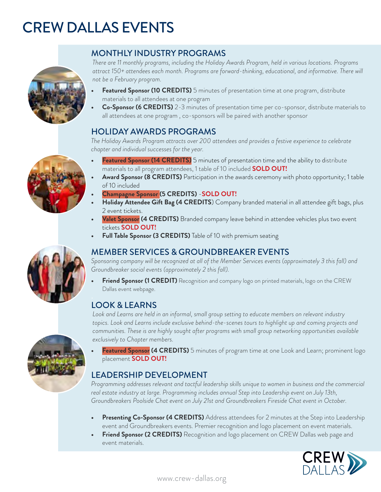### CREW DALLAS EVENTS **EXERTS** CREW DALLAS EVENTS - PARTNERSHIPS - PARTNERSHIPS - PARTNERSHIPS - PARTNERSHIPS - PARTNERSHIPS - PARTNERSHIPS projects and communities. This is a highly sought after program with small group networking with our



### **FEATURE SPONSOR AT 1 LUNCH & LEARN SPONSOR AT 1 LUNCH & LEARN (2 CREDITS)** Prominent logo placement, address at

not be a February program.  $\overline{\phantom{a}}$ There are 11 monthly programs, including the Holiday Awards Program, held in various locations. Programs *attract 150+ attendees each month. Programs are forward-thinking, educational, and informative. There will* 

- Featured Sponsor (10 CREDITS) 5 minutes of presentation time at one program, distribute materials to all attendees at one program
- Co-Sponsor (6 CREDITS) 2-3 minutes of presentation time per co-sponsor, distribute materials to all attendees at one program , co-sponsors will be paired with another sponsor

#### **FIOLIDAY AWARDS PROGRAMS Another co-sponsor, distribute materials to all attendees at one luncheon co-sponsor, distribute materials to all attendees at one luncheon co-sponsor, distribute materials of the luncheon co-sp • Featured Sponsor (10 CREDITS)** 5 minutes of podium time at one luncheon, distribute materials to  $\mathcal{L}$  because  $\mathcal{L}$  recognition and logo placement materials and logo placement materials on event materials on event materials of  $\mathcal{L}$

The Holiday Awards Program attracts over 200 attendees and provides a festive experience to celebrate chapter and individual successes for the year.<br>————————————————————

- Featured Sponsor (14 CREDITS) 5 minutes of presentation time and the ability to distribute materials to all program attendees, 1 table of 10 included **SOLD OUT!**<br>Award Seepeer (**8 CBEDITS**) Destinisation in the quards essences with photo apperturity of to
- **Award Sponsor (8 CREDITS)** Participation in the awards ceremony with photo opportunity; 1 table  $\circ$  f10 included of 10 included
- **• Champagne Sponsor (5 CREDITS)**  $\cdot$  **SOLD OUT!**
- $\frac{1}{\sqrt{2}}$ **• Allegation Sponsors CAREDITS Company** brandca material in the aut The Champagne Sponsor (5 CREDITS) - SOLD OUT!<br>Holiday Attendee Gift Bag (4 CREDITS) Company branded material in all attendee gift bags, plus 2 event tickets.
	- **Full Table Sponsor (2 CREDITS)** Table of 10 with premium seating • Valet Sponsor (4 CREDITS) Branded company leave behind in attendee vehicles plus two event<br>COLD QUTI tickets **SOLD OUT! • Full Table Sponsor (2 CREDITS)** Table of 10 with premium seating
	- **Full Table Sponsor (3 CREDITS)** Table of 10 with premium seating

#### EVENING OF OUTSTANDING ACHIEVEMENT EMBER SERVICES & GROUNDBREAKER EVENTS is a premier networking the Outstanding the Outstanding the Ou MONTHLY INDUCES AN ANNUA MEMBER SERVICES & GROUNDBREAKER EVENTS. Luncheon, held in various locations. The  $\sim$

INIEINIBER SERVICES & GROUNDBREANER EVEINTS<br>Sponsoring company will be recognized at all of the Member Services events (approximately 3 this fall) and Groundbreaker social events (approximately 2 this fall).

• Friend Sponsor (1 CREDIT) Recognition and company logo on printed materials, logo on the CREW Dallas event webpage.  $A_{\alpha}$  is the data is the highest and non-ineeded nominees. The oach year of  $\alpha$ **Triend Sponsor (ICREDI • Featured Sponsor (14 CREDITS)** Prominent logo placement, address attendees for five (5) minutes,

#### **FULL TABLE SPONSOR (5 CREDITS)** Table for 10 with premium seating premium seating table for 10 with premium seating  $\sim$ **• Co-Sponsor (6 CREDITS)** Share podium time with another co-sponsor, distribute materials to all  $\alpha$  is the luncheon at  $\alpha$

• bok and Learns are held in an informal, small group setting to educate members on i topics. Look and Learns include exclusive behind-the-scenes tours to highlight up and coming projects and exclusively to Chapter members. HOLIDAY AWARDS LUNCHEON *communities. These is are highly sought after programs with small group networking opportunities available*  **• Beverage Sponsor (4 CREDITS)** Signature cocktail named after your company .<br>Look and Learns are held in an informal, small group setting to educate members on relevant industry

• Featured Sponsor (4 CREDITS) 5 minutes of program time at one Look and Learn; prominent logo **Featured Sponsor (4 CREDITS)** 5 minutes or program time at one Look and Learn; prominent logo<br>placement **SOLD OUT!** Lunch and Learns are held in an informal small group setting to educate members on relevant topics.

#### :ADER  $\frac{1}{2}$  at the lunches at the lunches at the lunches at the lunches at the lunches at the lunches at the lunches at the lunches at  $\frac{1}{2}$ **LEADERSHIP DEVELOPMENT THE-scenes and Learns include exclusive behind-the-scenes and premier to highlight up-a**

Programming addresses relevant and tactful leadership skills unique to women in business and the commercial real estate industry at large. Programming includes annual Step into Leadership event on July 13th, Groundbreakers Poolside Chat event on July 21st and Groundbreakers Fireside Chat event in October.

- Presenting Co-Sponsor (4 CREDITS) Address attendees for 2 minutes at the Step into Leadership event and Groundbreakers events. Premier recognition and logo placement on event materials.
- event and Orbundbreakers events. Premier recognition and logo placement on event materials.<br>• Friend Sponsor (2 CREDITS) Recognition and logo placement on CREW Dallas web page and resolution, social and generational bias.<br>To a CREW Dallas member and tactful leadership development skills unique to women in the category of the control of the category of the control of the control of the control of the







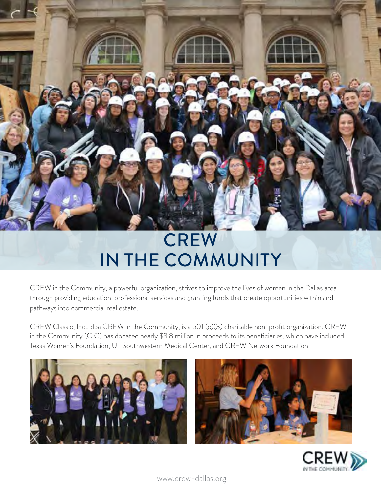# **CREW** IN THE COMMUNITY

CREW in the Community, a powerful organization, strives to improve the lives of women in the Dallas area through providing education, professional services and granting funds that create opportunities within and pathways into commercial real estate.

CREW Classic, Inc., dba CREW in the Community, is a 501 (c)(3) charitable non-profit organization. CREW in the Community (CIC) has donated nearly \$3.8 million in proceeds to its beneficiaries, which have included Texas Women's Foundation, UT Southwestern Medical Center, and CREW Network Foundation.







[www.crew-dallas.org](http://www.crew-dallas.org)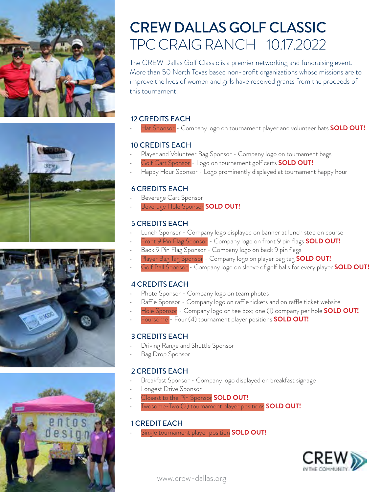







## CREW DALLAS GOLF CLASSIC TPC CRAIG RANCH 10.17.2022

The CREW Dallas Golf Classic is a premier networking and fundraising event. More than 50 North Texas based non-profit organizations whose missions are to improve the lives of women and girls have received grants from the proceeds of this tournament.

#### 12 CREDITS EACH

• Hat Sponsor - Company logo on tournament player and volunteer hats **SOLD OUT!**

#### 10 CREDITS EACH

- Player and Volunteer Bag Sponsor Company logo on tournament bags
- Golf Cart Sponsor Logo on tournament golf carts **SOLD OUT!**
- Happy Hour Sponsor Logo prominently displayed at tournament happy hour

#### 6 CREDITS EACH

- Beverage Cart Sponsor
- Beverage Hole Sponsor **SOLD OUT!**

#### 5 CREDITS EACH

- Lunch Sponsor Company logo displayed on banner at lunch stop on course
- Front 9 Pin Flag Sponsor Company logo on front 9 pin flags **SOLD OUT!**
- Back 9 Pin Flag Sponsor Company logo on back 9 pin flags
- Player Bag Tag Sponsor Company logo on player bag tag **SOLD OUT!**
- Golf Ball Sponsor Company logo on sleeve of golf balls for every player **SOLD OUT!**

#### 4 CREDITS EACH

- Photo Sponsor Company logo on team photos
- Raffle Sponsor Company logo on raffle tickets and on raffle ticket website
- Hole Sponsor Company logo on tee box; one (1) company per hole **SOLD OUT!**
- Foursome Four (4) tournament player positions **SOLD OUT!**

#### 3 CREDITS EACH

- Driving Range and Shuttle Sponsor
- Bag Drop Sponsor

#### 2 CREDITS EACH

- Breakfast Sponsor Company logo displayed on breakfast signage
- Longest Drive Sponsor
- Closest to the Pin Sponsor **SOLD OUT!**
- Twosome-Two (2) tournament player positions **SOLD OUT!**

#### 1 CREDIT EACH

• Single tournament player position **SOLD OUT!**



[www.crew-dallas.org](http://www.crew-dallas.org)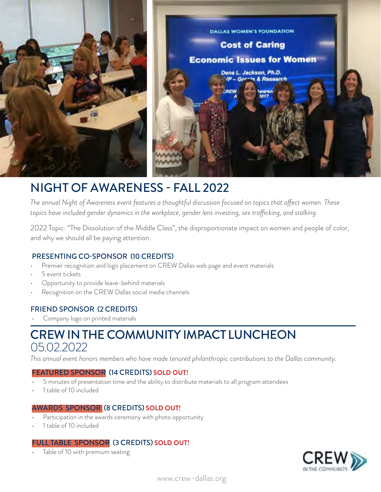

## NIGHT OF AWARENESS - FALL 2022

*The annual Night of Awareness event features a thoughtful discussion focused on topics that affect women. These*  topics have included gender dynamics in the workplace, gender lens investing, sex trafficking, and stalking.

2022 Topic: "The Dissolution of the Middle Class", the disproportionate impact on women and people of color, and why we should all be paying attention.

#### PRESENTING CO-SPONSOR (10 CREDITS)

- Premier recognition and logo placement on CREW Dallas web page and event materials
- 5 event tickets
- Opportunity to provide leave-behind materials
- Recognition on the CREW Dallas social media channels

#### FRIEND SPONSOR (2 CREDITS)

• Company logo on printed materials

## CREW IN THE COMMUNITY IMPACT LUNCHEON 05.02.2022

*This annual event honors members who have made tenured philanthropic contributions to the Dallas community.*

#### FEATURED SPONSOR (14 CREDITS) **SOLD OUT!**

- 5 minutes of presentation time and the ability to distribute materials to all program attendees
- 1 table of 10 included

#### AWARDS SPONSOR (8 CREDITS) **SOLD OUT!**

- Participation in the awards ceremony with photo opportunity
- 1 table of 10 included

#### FULL TABLE SPONSOR (3 CREDITS) **SOLD OUT!**

• Table of 10 with premium seating